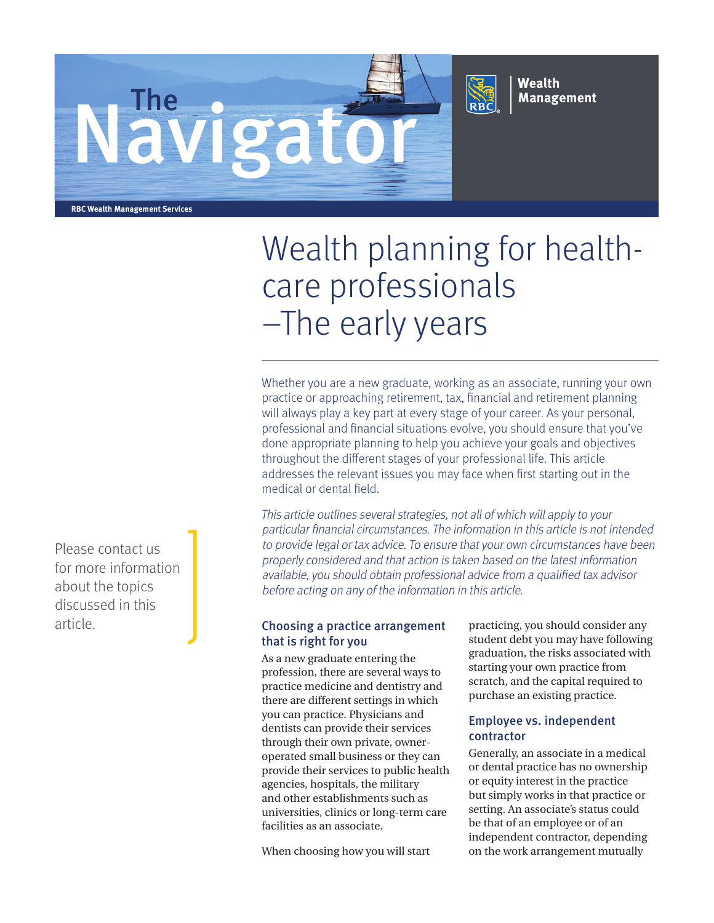



Wealth **Management** 

**RBC Wealth Management Services**

# Wealth planning for healthcare professionals –The early years

Whether you are a new graduate, working as an associate, running your own practice or approaching retirement, tax, financial and retirement planning will always play a key part at every stage of your career. As your personal, professional and financial situations evolve, you should ensure that you've done appropriate planning to help you achieve your goals and objectives throughout the different stages of your professional life. This article addresses the relevant issues you may face when first starting out in the medical or dental field.

This article outlines several strategies, not all of which will apply to your particular financial circumstances. The information in this article is not intended to provide legal or tax advice. To ensure that your own circumstances have been properly considered and that action is taken based on the latest information available, you should obtain professional advice from a qualified tax advisor before acting on any of the information in this article.

# article. Choosing a practice arrangement that is right for you

As a new graduate entering the profession, there are several ways to practice medicine and dentistry and there are different settings in which you can practice. Physicians and dentists can provide their services through their own private, owneroperated small business or they can provide their services to public health agencies, hospitals, the military and other establishments such as universities, clinics or long-term care facilities as an associate.

When choosing how you will start

practicing, you should consider any student debt you may have following graduation, the risks associated with starting your own practice from scratch, and the capital required to purchase an existing practice.

## Employee vs. independent contractor

Generally, an associate in a medical or dental practice has no ownership or equity interest in the practice but simply works in that practice or setting. An associate's status could be that of an employee or of an independent contractor, depending on the work arrangement mutually

Please contact us for more information about the topics discussed in this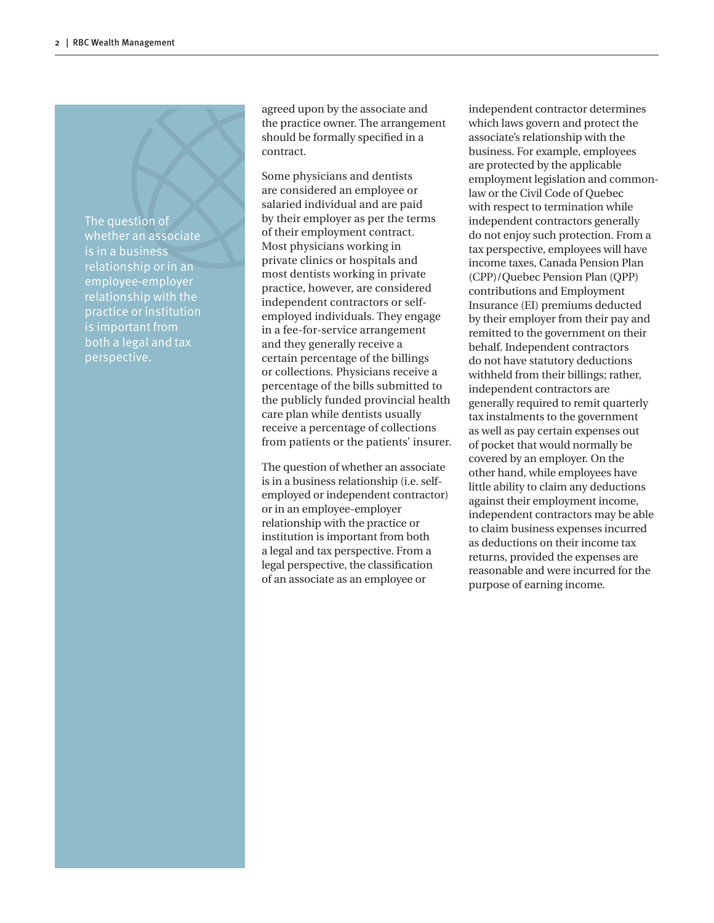The question of whether an associate is in a business relationship or in an employee-employer relationship with the practice or institution is important from both a legal and tax perspective.

agreed upon by the associate and the practice owner. The arrangement should be formally specified in a contract.

Some physicians and dentists are considered an employee or salaried individual and are paid by their employer as per the terms of their employment contract. Most physicians working in private clinics or hospitals and most dentists working in private practice, however, are considered independent contractors or selfemployed individuals. They engage in a fee-for-service arrangement and they generally receive a certain percentage of the billings or collections. Physicians receive a percentage of the bills submitted to the publicly funded provincial health care plan while dentists usually receive a percentage of collections from patients or the patients' insurer.

The question of whether an associate is in a business relationship (i.e. selfemployed or independent contractor) or in an employee-employer relationship with the practice or institution is important from both a legal and tax perspective. From a legal perspective, the classification of an associate as an employee or

independent contractor determines which laws govern and protect the associate's relationship with the business. For example, employees are protected by the applicable employment legislation and commonlaw or the Civil Code of Quebec with respect to termination while independent contractors generally do not enjoy such protection. From a tax perspective, employees will have income taxes, Canada Pension Plan (CPP)/Quebec Pension Plan (QPP) contributions and Employment Insurance (EI) premiums deducted by their employer from their pay and remitted to the government on their behalf. Independent contractors do not have statutory deductions withheld from their billings; rather, independent contractors are generally required to remit quarterly tax instalments to the government as well as pay certain expenses out of pocket that would normally be covered by an employer. On the other hand, while employees have little ability to claim any deductions against their employment income, independent contractors may be able to claim business expenses incurred as deductions on their income tax returns, provided the expenses are reasonable and were incurred for the purpose of earning income.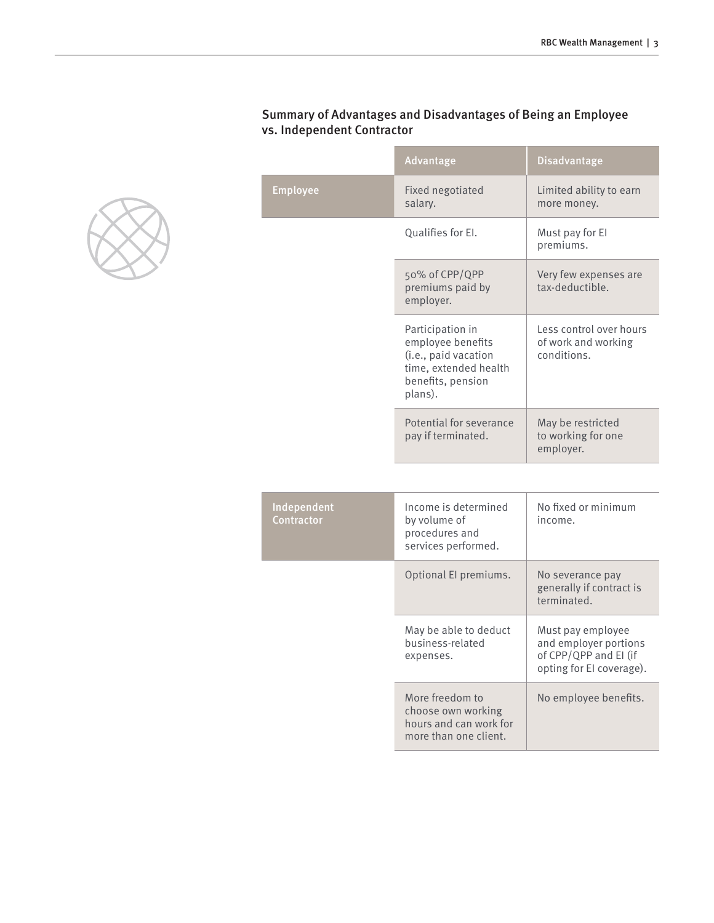|                           | Advantage                                                                                                              | <b>Disadvantage</b>                                           |
|---------------------------|------------------------------------------------------------------------------------------------------------------------|---------------------------------------------------------------|
| <b>Employee</b>           | Fixed negotiated<br>salary.                                                                                            | Limited ability to earn<br>more money.                        |
|                           | Qualifies for El.                                                                                                      | Must pay for El<br>premiums.                                  |
|                           | 50% of CPP/QPP<br>premiums paid by<br>employer.                                                                        | Very few expenses are<br>tax-deductible.                      |
|                           | Participation in<br>employee benefits<br>(i.e., paid vacation<br>time, extended health<br>benefits, pension<br>plans). | Less control over hours<br>of work and working<br>conditions. |
|                           | Potential for severance<br>pay if terminated.                                                                          | May be restricted<br>to working for one<br>employer.          |
|                           |                                                                                                                        |                                                               |
| Independent<br>Contractor | Income is determined<br>by volume of<br>procedures and                                                                 | No fixed or minimum<br>income.                                |

## Summary of Advantages and Disadvantages of Being an Employee vs. Independent Contractor

**The Contract State** 

m.

| Independent<br><b>Contractor</b> | Income is determined<br>by volume of<br>procedures and<br>services performed.            | No fixed or minimum<br>income.                                                                  |
|----------------------------------|------------------------------------------------------------------------------------------|-------------------------------------------------------------------------------------------------|
|                                  | Optional El premiums.                                                                    | No severance pay<br>generally if contract is<br>terminated.                                     |
|                                  | May be able to deduct<br>business-related<br>expenses.                                   | Must pay employee<br>and employer portions<br>of CPP/QPP and EI (if<br>opting for El coverage). |
|                                  | More freedom to<br>choose own working<br>hours and can work for<br>more than one client. | No employee benefits.                                                                           |

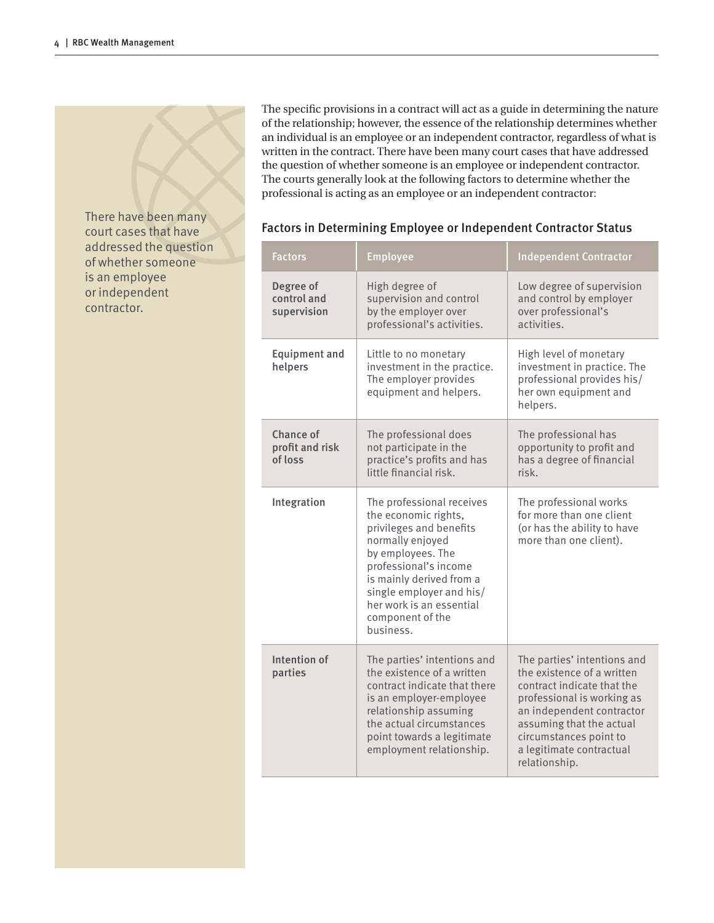There have been many court cases that have addressed the question of whether someone is an employee or independent contractor.

The specific provisions in a contract will act as a guide in determining the nature of the relationship; however, the essence of the relationship determines whether an individual is an employee or an independent contractor, regardless of what is written in the contract. There have been many court cases that have addressed the question of whether someone is an employee or independent contractor. The courts generally look at the following factors to determine whether the professional is acting as an employee or an independent contractor:

| <b>Factors</b>                          | <b>Employee</b>                                                                                                                                                                                                                                                     | <b>Independent Contractor</b>                                                                                                                                                                                                                         |
|-----------------------------------------|---------------------------------------------------------------------------------------------------------------------------------------------------------------------------------------------------------------------------------------------------------------------|-------------------------------------------------------------------------------------------------------------------------------------------------------------------------------------------------------------------------------------------------------|
| Degree of<br>control and<br>supervision | High degree of<br>supervision and control<br>by the employer over<br>professional's activities.                                                                                                                                                                     | Low degree of supervision<br>and control by employer<br>over professional's<br>activities.                                                                                                                                                            |
| <b>Equipment and</b><br>helpers         | Little to no monetary<br>investment in the practice.<br>The employer provides<br>equipment and helpers.                                                                                                                                                             | High level of monetary<br>investment in practice. The<br>professional provides his/<br>her own equipment and<br>helpers.                                                                                                                              |
| Chance of<br>profit and risk<br>of loss | The professional does<br>not participate in the<br>practice's profits and has<br>little financial risk.                                                                                                                                                             | The professional has<br>opportunity to profit and<br>has a degree of financial<br>risk.                                                                                                                                                               |
| Integration                             | The professional receives<br>the economic rights,<br>privileges and benefits<br>normally enjoyed<br>by employees. The<br>professional's income<br>is mainly derived from a<br>single employer and his/<br>her work is an essential<br>component of the<br>business. | The professional works<br>for more than one client<br>(or has the ability to have<br>more than one client).                                                                                                                                           |
| Intention of<br>parties                 | The parties' intentions and<br>the existence of a written<br>contract indicate that there<br>is an employer-employee<br>relationship assuming<br>the actual circumstances<br>point towards a legitimate<br>employment relationship.                                 | The parties' intentions and<br>the existence of a written<br>contract indicate that the<br>professional is working as<br>an independent contractor<br>assuming that the actual<br>circumstances point to<br>a legitimate contractual<br>relationship. |

### Factors in Determining Employee or Independent Contractor Status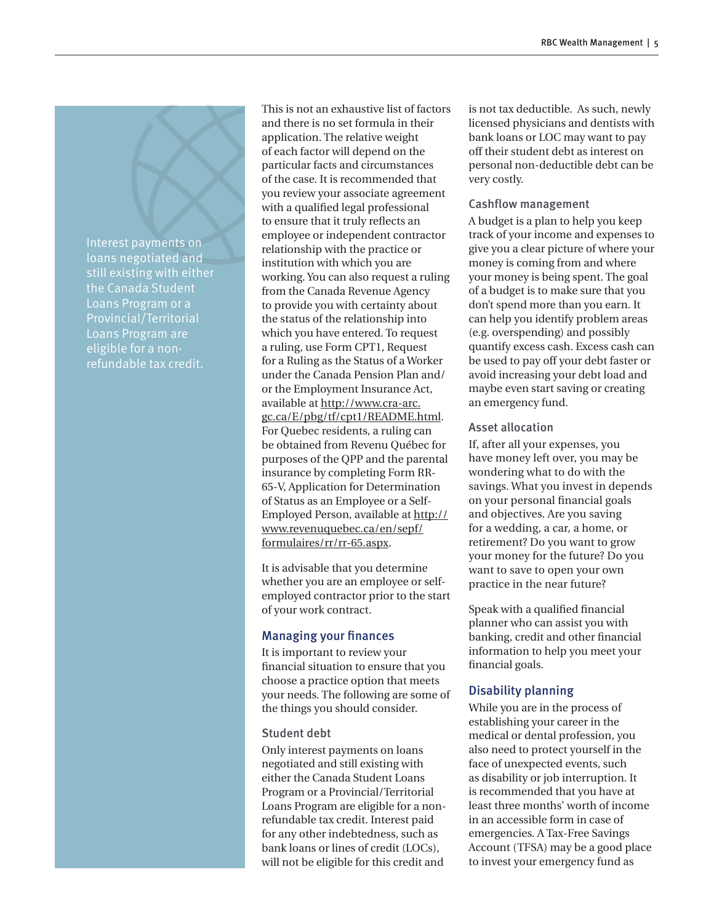Interest payments on loans negotiated and still existing with either the Canada Student Loans Program or a Provincial/Territorial Loans Program are eligible for a nonrefundable tax credit.

This is not an exhaustive list of factors and there is no set formula in their application. The relative weight of each factor will depend on the particular facts and circumstances of the case. It is recommended that you review your associate agreement with a qualified legal professional to ensure that it truly reflects an employee or independent contractor relationship with the practice or institution with which you are working. You can also request a ruling from the Canada Revenue Agency to provide you with certainty about the status of the relationship into which you have entered. To request a ruling, use Form CPT1, Request for a Ruling as the Status of a Worker under the Canada Pension Plan and/ or the Employment Insurance Act, available at http://www.cra-arc. gc.ca/E/pbg/tf/cpt1/README.html. For Quebec residents, a ruling can be obtained from Revenu Québec for purposes of the QPP and the parental insurance by completing Form RR-65-V, Application for Determination of Status as an Employee or a Self-Employed Person, available at http:// www.revenuquebec.ca/en/sepf/ formulaires/rr/rr-65.aspx.

It is advisable that you determine whether you are an employee or selfemployed contractor prior to the start of your work contract.

#### Managing your finances

It is important to review your financial situation to ensure that you choose a practice option that meets your needs. The following are some of the things you should consider.

#### Student debt

Only interest payments on loans negotiated and still existing with either the Canada Student Loans Program or a Provincial/Territorial Loans Program are eligible for a nonrefundable tax credit. Interest paid for any other indebtedness, such as bank loans or lines of credit (LOCs), will not be eligible for this credit and

is not tax deductible. As such, newly licensed physicians and dentists with bank loans or LOC may want to pay off their student debt as interest on personal non-deductible debt can be very costly.

#### Cashflow management

A budget is a plan to help you keep track of your income and expenses to give you a clear picture of where your money is coming from and where your money is being spent. The goal of a budget is to make sure that you don't spend more than you earn. It can help you identify problem areas (e.g. overspending) and possibly quantify excess cash. Excess cash can be used to pay off your debt faster or avoid increasing your debt load and maybe even start saving or creating an emergency fund.

#### Asset allocation

If, after all your expenses, you have money left over, you may be wondering what to do with the savings. What you invest in depends on your personal financial goals and objectives. Are you saving for a wedding, a car, a home, or retirement? Do you want to grow your money for the future? Do you want to save to open your own practice in the near future?

Speak with a qualified financial planner who can assist you with banking, credit and other financial information to help you meet your financial goals.

## Disability planning

While you are in the process of establishing your career in the medical or dental profession, you also need to protect yourself in the face of unexpected events, such as disability or job interruption. It is recommended that you have at least three months' worth of income in an accessible form in case of emergencies. A Tax-Free Savings Account (TFSA) may be a good place to invest your emergency fund as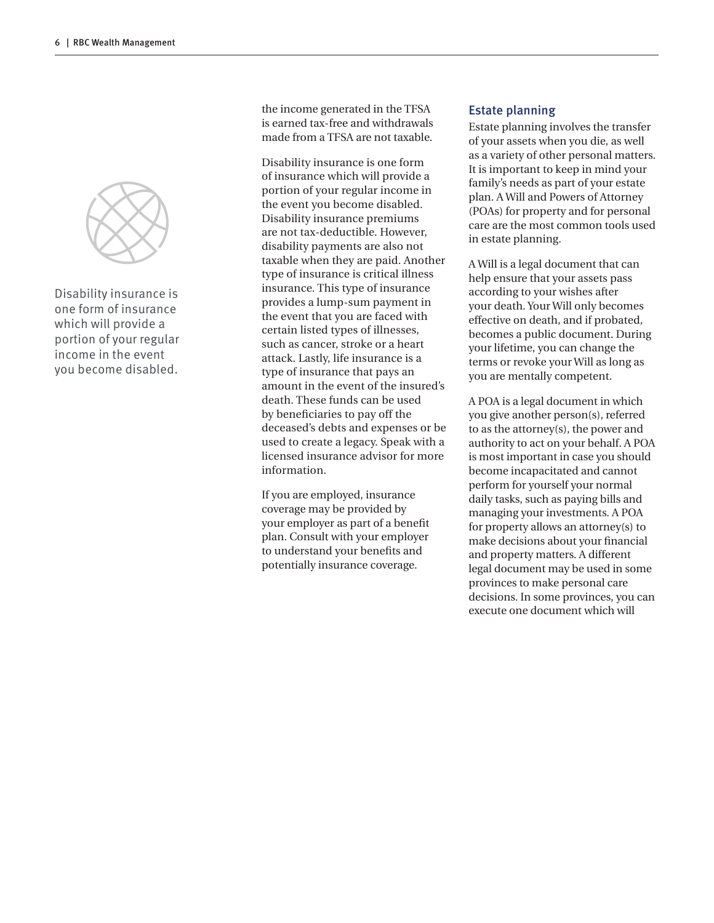

Disability insurance is one form of insurance which will provide a portion of your regular income in the event you become disabled.

the income generated in the TFSA is earned tax-free and withdrawals made from a TFSA are not taxable.

Disability insurance is one form of insurance which will provide a portion of your regular income in the event you become disabled. Disability insurance premiums are not tax-deductible. However, disability payments are also not taxable when they are paid. Another type of insurance is critical illness insurance. This type of insurance provides a lump-sum payment in the event that you are faced with certain listed types of illnesses, such as cancer, stroke or a heart attack. Lastly, life insurance is a type of insurance that pays an amount in the event of the insured's death. These funds can be used by beneficiaries to pay off the deceased's debts and expenses or be used to create a legacy. Speak with a licensed insurance advisor for more information.

If you are employed, insurance coverage may be provided by your employer as part of a benefit plan. Consult with your employer to understand your benefits and potentially insurance coverage.

#### Estate planning

Estate planning involves the transfer of your assets when you die, as well as a variety of other personal matters. It is important to keep in mind your family's needs as part of your estate plan. A Will and Powers of Attorney (POAs) for property and for personal care are the most common tools used in estate planning.

A Will is a legal document that can help ensure that your assets pass according to your wishes after your death. Your Will only becomes effective on death, and if probated, becomes a public document. During your lifetime, you can change the terms or revoke your Will as long as you are mentally competent.

A POA is a legal document in which you give another person(s), referred to as the attorney(s), the power and authority to act on your behalf. A POA is most important in case you should become incapacitated and cannot perform for yourself your normal daily tasks, such as paying bills and managing your investments. A POA for property allows an attorney(s) to make decisions about your financial and property matters. A different legal document may be used in some provinces to make personal care decisions. In some provinces, you can execute one document which will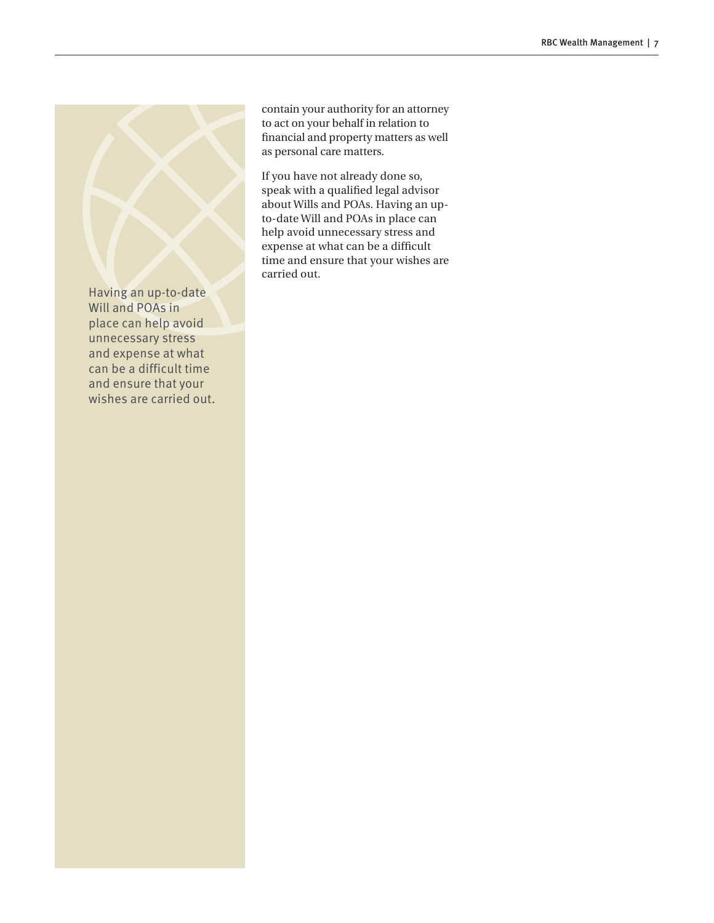Having an up-to-date Will and POAs in place can help avoid unnecessary stress and expense at what can be a difficult time and ensure that your wishes are carried out. contain your authority for an attorney to act on your behalf in relation to financial and property matters as well as personal care matters.

If you have not already done so, speak with a qualified legal advisor about Wills and POAs. Having an upto-date Will and POAs in place can help avoid unnecessary stress and expense at what can be a difficult time and ensure that your wishes are carried out.